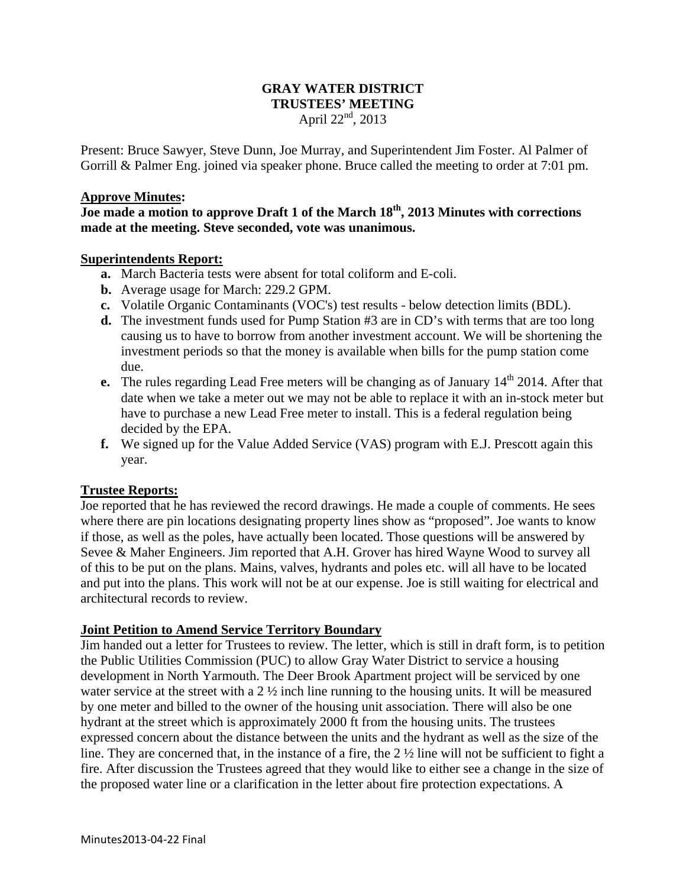### **GRAY WATER DISTRICT TRUSTEES' MEETING**  April  $22^{nd}$ , 2013

Present: Bruce Sawyer, Steve Dunn, Joe Murray, and Superintendent Jim Foster. Al Palmer of Gorrill & Palmer Eng. joined via speaker phone. Bruce called the meeting to order at 7:01 pm.

#### **Approve Minutes:**

**Joe made a motion to approve Draft 1 of the March 18th, 2013 Minutes with corrections made at the meeting. Steve seconded, vote was unanimous.** 

#### **Superintendents Report:**

- **a.** March Bacteria tests were absent for total coliform and E-coli.
- **b.** Average usage for March: 229.2 GPM.
- **c.** Volatile Organic Contaminants (VOC's) test results below detection limits (BDL).
- **d.** The investment funds used for Pump Station #3 are in CD's with terms that are too long causing us to have to borrow from another investment account. We will be shortening the investment periods so that the money is available when bills for the pump station come due.
- **e.** The rules regarding Lead Free meters will be changing as of January 14<sup>th</sup> 2014. After that date when we take a meter out we may not be able to replace it with an in-stock meter but have to purchase a new Lead Free meter to install. This is a federal regulation being decided by the EPA.
- **f.** We signed up for the Value Added Service (VAS) program with E.J. Prescott again this year.

### **Trustee Reports:**

Joe reported that he has reviewed the record drawings. He made a couple of comments. He sees where there are pin locations designating property lines show as "proposed". Joe wants to know if those, as well as the poles, have actually been located. Those questions will be answered by Sevee & Maher Engineers. Jim reported that A.H. Grover has hired Wayne Wood to survey all of this to be put on the plans. Mains, valves, hydrants and poles etc. will all have to be located and put into the plans. This work will not be at our expense. Joe is still waiting for electrical and architectural records to review.

### **Joint Petition to Amend Service Territory Boundary**

Jim handed out a letter for Trustees to review. The letter, which is still in draft form, is to petition the Public Utilities Commission (PUC) to allow Gray Water District to service a housing development in North Yarmouth. The Deer Brook Apartment project will be serviced by one water service at the street with a 2 ½ inch line running to the housing units. It will be measured by one meter and billed to the owner of the housing unit association. There will also be one hydrant at the street which is approximately 2000 ft from the housing units. The trustees expressed concern about the distance between the units and the hydrant as well as the size of the line. They are concerned that, in the instance of a fire, the 2 ½ line will not be sufficient to fight a fire. After discussion the Trustees agreed that they would like to either see a change in the size of the proposed water line or a clarification in the letter about fire protection expectations. A